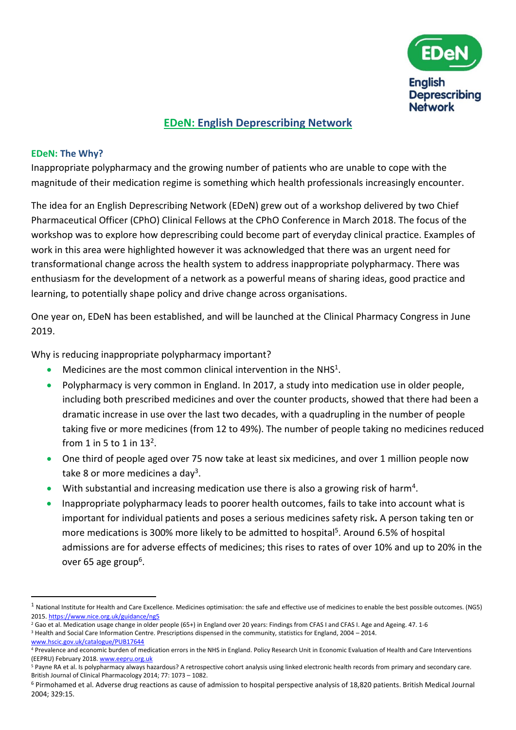

# **EDeN: English Deprescribing Network**

#### **EDeN: The Why?**

Inappropriate polypharmacy and the growing number of patients who are unable to cope with the magnitude of their medication regime is something which health professionals increasingly encounter.

The idea for an English Deprescribing Network (EDeN) grew out of a workshop delivered by two Chief Pharmaceutical Officer (CPhO) Clinical Fellows at the CPhO Conference in March 2018. The focus of the workshop was to explore how deprescribing could become part of everyday clinical practice. Examples of work in this area were highlighted however it was acknowledged that there was an urgent need for transformational change across the health system to address inappropriate polypharmacy. There was enthusiasm for the development of a network as a powerful means of sharing ideas, good practice and learning, to potentially shape policy and drive change across organisations.

One year on, EDeN has been established, and will be launched at the Clinical Pharmacy Congress in June 2019.

Why is reducing inappropriate polypharmacy important?

- $\bullet$  Medicines are the most common clinical intervention in the NHS<sup>1</sup>.
- Polypharmacy is very common in England. In 2017, a study into medication use in older people, including both prescribed medicines and over the counter products, showed that there had been a dramatic increase in use over the last two decades, with a quadrupling in the number of people taking five or more medicines (from 12 to 49%). The number of people taking no medicines reduced from 1 in 5 to 1 in  $13^2$ .
- One third of people aged over 75 now take at least six medicines, and over 1 million people now take 8 or more medicines a day<sup>3</sup>.
- $\bullet$  With substantial and increasing medication use there is also a growing risk of harm<sup>4</sup>.
- Inappropriate polypharmacy leads to poorer health outcomes, fails to take into account what is important for individual patients and poses a serious medicines safety risk**.** A person taking ten or more medications is 300% more likely to be admitted to hospital<sup>5</sup>. Around 6.5% of hospital admissions are for adverse effects of medicines; this rises to rates of over 10% and up to 20% in the over 65 age group<sup>6</sup>.

[www.hscic.gov.uk/catalogue/PUB17644](http://www.hscic.gov.uk/catalogue/PUB17644)

**.** 

 $1$  National Institute for Health and Care Excellence. Medicines optimisation: the safe and effective use of medicines to enable the best possible outcomes. (NG5) 2015[. https://www.nice.org.uk/guidance/ng5](https://www.nice.org.uk/guidance/ng5)

<sup>&</sup>lt;sup>2</sup> Gao et al. Medication usage change in older people (65+) in England over 20 years: Findings from CFAS I and CFAS I. Age and Ageing. 47. 1-6

<sup>3</sup> Health and Social Care Information Centre. Prescriptions dispensed in the community, statistics for England, 2004 – 2014.

<sup>&</sup>lt;sup>4</sup> Prevalence and economic burden of medication errors in the NHS in England. Policy Research Unit in Economic Evaluation of Health and Care Interventions (EEPRU) February 2018[. www.eepru.org.uk](http://www.eepru.org.uk/)

<sup>&</sup>lt;sup>5</sup> Payne RA et al. Is polypharmacy always hazardous? A retrospective cohort analysis using linked electronic health records from primary and secondary care. British Journal of Clinical Pharmacology 2014; 77: 1073 – 1082.

<sup>6</sup> Pirmohamed et al. Adverse drug reactions as cause of admission to hospital perspective analysis of 18,820 patients. British Medical Journal 2004; 329:15.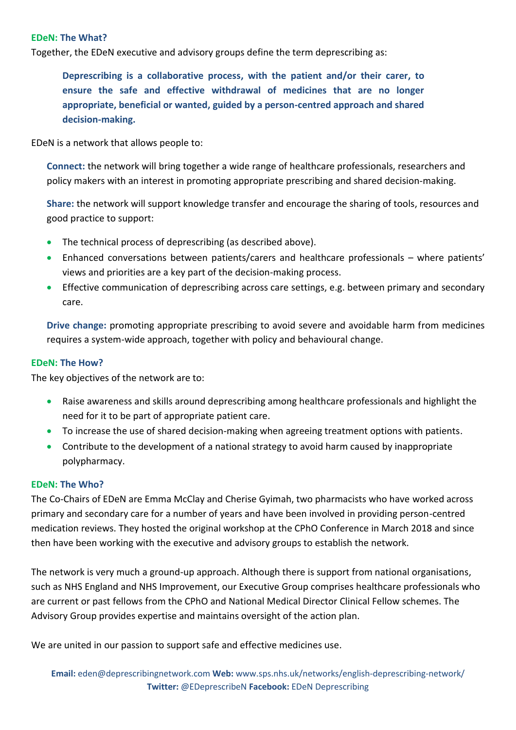# **EDeN: The What?**

Together, the EDeN executive and advisory groups define the term deprescribing as:

**Deprescribing is a collaborative process, with the patient and/or their carer, to ensure the safe and effective withdrawal of medicines that are no longer appropriate, beneficial or wanted, guided by a person-centred approach and shared decision-making.**

EDeN is a network that allows people to:

**Connect:** the network will bring together a wide range of healthcare professionals, researchers and policy makers with an interest in promoting appropriate prescribing and shared decision-making.

**Share:** the network will support knowledge transfer and encourage the sharing of tools, resources and good practice to support:

- The technical process of deprescribing (as described above).
- Enhanced conversations between patients/carers and healthcare professionals where patients' views and priorities are a key part of the decision-making process.
- **Effective communication of deprescribing across care settings, e.g. between primary and secondary** care.

**Drive change:** promoting appropriate prescribing to avoid severe and avoidable harm from medicines requires a system-wide approach, together with policy and behavioural change.

# **EDeN: The How?**

The key objectives of the network are to:

- Raise awareness and skills around deprescribing among healthcare professionals and highlight the need for it to be part of appropriate patient care.
- To increase the use of shared decision-making when agreeing treatment options with patients.
- Contribute to the development of a national strategy to avoid harm caused by inappropriate polypharmacy.

## **EDeN: The Who?**

The Co-Chairs of EDeN are Emma McClay and Cherise Gyimah, two pharmacists who have worked across primary and secondary care for a number of years and have been involved in providing person-centred medication reviews. They hosted the original workshop at the CPhO Conference in March 2018 and since then have been working with the executive and advisory groups to establish the network.

The network is very much a ground-up approach. Although there is support from national organisations, such as NHS England and NHS Improvement, our Executive Group comprises healthcare professionals who are current or past fellows from the CPhO and National Medical Director Clinical Fellow schemes. The Advisory Group provides expertise and maintains oversight of the action plan.

We are united in our passion to support safe and effective medicines use.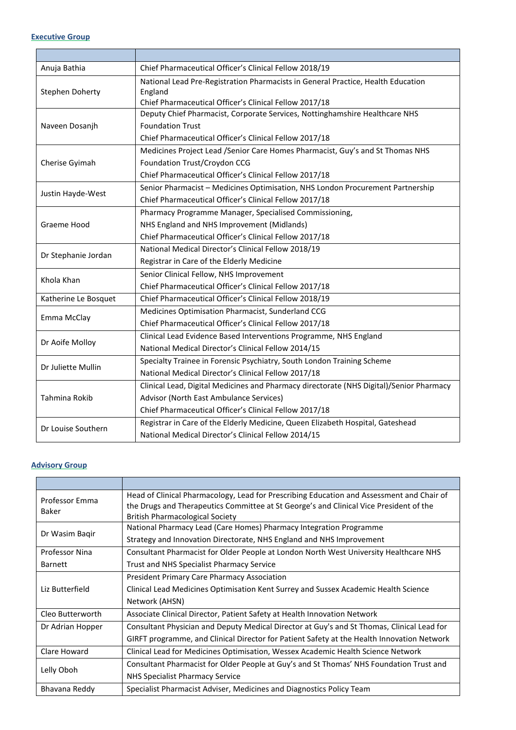#### **Executive Group**

 $\overline{\phantom{a}}$ 

| Anuja Bathia         | Chief Pharmaceutical Officer's Clinical Fellow 2018/19                                  |
|----------------------|-----------------------------------------------------------------------------------------|
| Stephen Doherty      | National Lead Pre-Registration Pharmacists in General Practice, Health Education        |
|                      | England                                                                                 |
|                      | Chief Pharmaceutical Officer's Clinical Fellow 2017/18                                  |
| Naveen Dosanjh       | Deputy Chief Pharmacist, Corporate Services, Nottinghamshire Healthcare NHS             |
|                      | <b>Foundation Trust</b>                                                                 |
|                      | Chief Pharmaceutical Officer's Clinical Fellow 2017/18                                  |
| Cherise Gyimah       | Medicines Project Lead /Senior Care Homes Pharmacist, Guy's and St Thomas NHS           |
|                      | Foundation Trust/Croydon CCG                                                            |
|                      | Chief Pharmaceutical Officer's Clinical Fellow 2017/18                                  |
| Justin Hayde-West    | Senior Pharmacist - Medicines Optimisation, NHS London Procurement Partnership          |
|                      | Chief Pharmaceutical Officer's Clinical Fellow 2017/18                                  |
| Graeme Hood          | Pharmacy Programme Manager, Specialised Commissioning,                                  |
|                      | NHS England and NHS Improvement (Midlands)                                              |
|                      | Chief Pharmaceutical Officer's Clinical Fellow 2017/18                                  |
| Dr Stephanie Jordan  | National Medical Director's Clinical Fellow 2018/19                                     |
|                      | Registrar in Care of the Elderly Medicine                                               |
| Khola Khan           | Senior Clinical Fellow, NHS Improvement                                                 |
|                      | Chief Pharmaceutical Officer's Clinical Fellow 2017/18                                  |
| Katherine Le Bosquet | Chief Pharmaceutical Officer's Clinical Fellow 2018/19                                  |
| Emma McClay          | Medicines Optimisation Pharmacist, Sunderland CCG                                       |
|                      | Chief Pharmaceutical Officer's Clinical Fellow 2017/18                                  |
| Dr Aoife Molloy      | Clinical Lead Evidence Based Interventions Programme, NHS England                       |
|                      | National Medical Director's Clinical Fellow 2014/15                                     |
| Dr Juliette Mullin   | Specialty Trainee in Forensic Psychiatry, South London Training Scheme                  |
|                      | National Medical Director's Clinical Fellow 2017/18                                     |
| Tahmina Rokib        | Clinical Lead, Digital Medicines and Pharmacy directorate (NHS Digital)/Senior Pharmacy |
|                      | Advisor (North East Ambulance Services)                                                 |
|                      | Chief Pharmaceutical Officer's Clinical Fellow 2017/18                                  |
| Dr Louise Southern   | Registrar in Care of the Elderly Medicine, Queen Elizabeth Hospital, Gateshead          |
|                      | National Medical Director's Clinical Fellow 2014/15                                     |

### **Advisory Group**

| Professor Emma<br>Baker | Head of Clinical Pharmacology, Lead for Prescribing Education and Assessment and Chair of<br>the Drugs and Therapeutics Committee at St George's and Clinical Vice President of the<br><b>British Pharmacological Society</b> |
|-------------------------|-------------------------------------------------------------------------------------------------------------------------------------------------------------------------------------------------------------------------------|
| Dr Wasim Bagir          | National Pharmacy Lead (Care Homes) Pharmacy Integration Programme                                                                                                                                                            |
|                         | Strategy and Innovation Directorate, NHS England and NHS Improvement                                                                                                                                                          |
| <b>Professor Nina</b>   | Consultant Pharmacist for Older People at London North West University Healthcare NHS                                                                                                                                         |
| <b>Barnett</b>          | <b>Trust and NHS Specialist Pharmacy Service</b>                                                                                                                                                                              |
| Liz Butterfield         | <b>President Primary Care Pharmacy Association</b>                                                                                                                                                                            |
|                         | Clinical Lead Medicines Optimisation Kent Surrey and Sussex Academic Health Science                                                                                                                                           |
|                         | Network (AHSN)                                                                                                                                                                                                                |
| Cleo Butterworth        | Associate Clinical Director, Patient Safety at Health Innovation Network                                                                                                                                                      |
| Dr Adrian Hopper        | Consultant Physician and Deputy Medical Director at Guy's and St Thomas, Clinical Lead for                                                                                                                                    |
|                         | GIRFT programme, and Clinical Director for Patient Safety at the Health Innovation Network                                                                                                                                    |
| Clare Howard            | Clinical Lead for Medicines Optimisation, Wessex Academic Health Science Network                                                                                                                                              |
| Lelly Oboh              | Consultant Pharmacist for Older People at Guy's and St Thomas' NHS Foundation Trust and                                                                                                                                       |
|                         | NHS Specialist Pharmacy Service                                                                                                                                                                                               |
| Bhavana Reddy           | Specialist Pharmacist Adviser, Medicines and Diagnostics Policy Team                                                                                                                                                          |